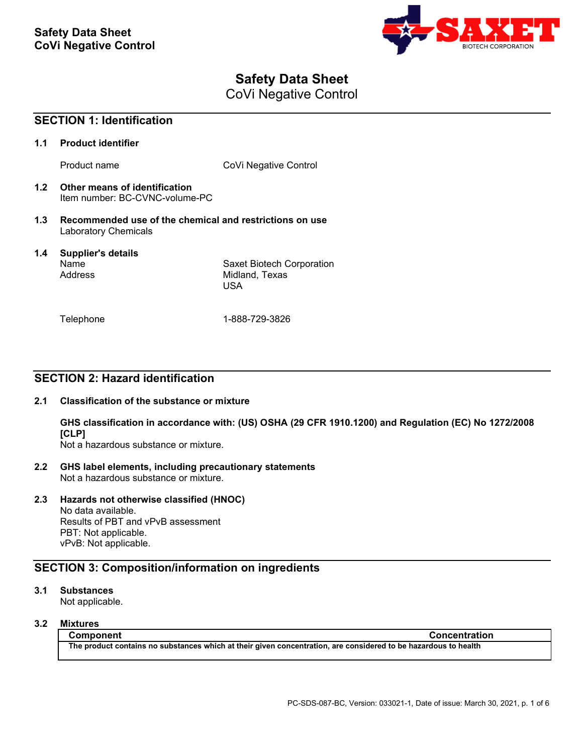

# **Safety Data Sheet**

CoVi Negative Control

| <b>SECTION 1: Identification</b> |                                                                                        |                                                           |
|----------------------------------|----------------------------------------------------------------------------------------|-----------------------------------------------------------|
| 1.1                              | <b>Product identifier</b>                                                              |                                                           |
|                                  | Product name                                                                           | CoVi Negative Control                                     |
| 1.2                              | Other means of identification<br>Item number: BC-CVNC-volume-PC                        |                                                           |
| 1.3                              | Recommended use of the chemical and restrictions on use<br><b>Laboratory Chemicals</b> |                                                           |
| 1.4                              | <b>Supplier's details</b><br>Name<br>Address                                           | Saxet Biotech Corporation<br>Midland, Texas<br><b>USA</b> |
|                                  | Telephone                                                                              | 1-888-729-3826                                            |

## **SECTION 2: Hazard identification**

### **2.1 Classification of the substance or mixture**

**GHS classification in accordance with: (US) OSHA (29 CFR 1910.1200) and Regulation (EC) No 1272/2008 [CLP]**

Not a hazardous substance or mixture.

**2.2 GHS label elements, including precautionary statements** Not a hazardous substance or mixture.

### **2.3 Hazards not otherwise classified (HNOC)**

No data available. Results of PBT and vPvB assessment PBT: Not applicable. vPvB: Not applicable.

## **SECTION 3: Composition/information on ingredients**

### **3.1 Substances**

Not applicable.

### **3.2 Mixtures**

**Component Concentration The product contains no substances which at their given concentration, are considered to be hazardous to health**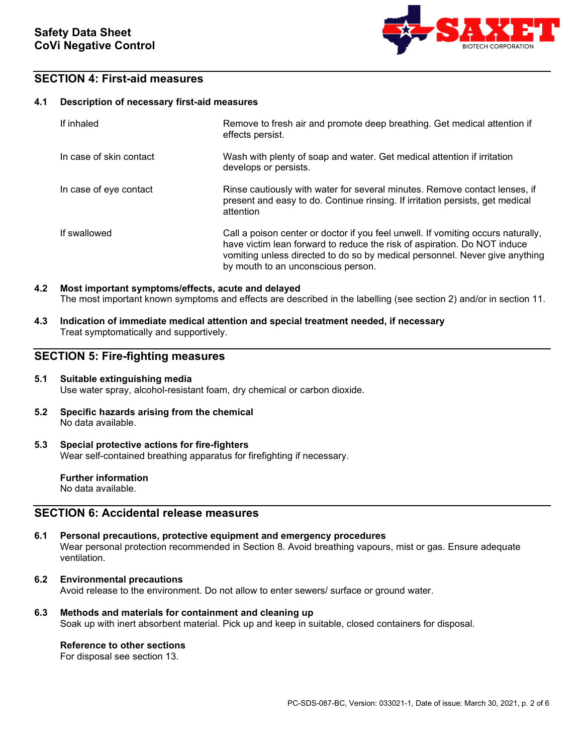

## **SECTION 4: First-aid measures**

### **4.1 Description of necessary first-aid measures**

| If inhaled              | Remove to fresh air and promote deep breathing. Get medical attention if<br>effects persist.                                                                                                                                                                                      |
|-------------------------|-----------------------------------------------------------------------------------------------------------------------------------------------------------------------------------------------------------------------------------------------------------------------------------|
| In case of skin contact | Wash with plenty of soap and water. Get medical attention if irritation<br>develops or persists.                                                                                                                                                                                  |
| In case of eye contact  | Rinse cautiously with water for several minutes. Remove contact lenses, if<br>present and easy to do. Continue rinsing. If irritation persists, get medical<br>attention                                                                                                          |
| If swallowed            | Call a poison center or doctor if you feel unwell. If vomiting occurs naturally,<br>have victim lean forward to reduce the risk of aspiration. Do NOT induce<br>vomiting unless directed to do so by medical personnel. Never give anything<br>by mouth to an unconscious person. |

### **4.2 Most important symptoms/effects, acute and delayed** The most important known symptoms and effects are described in the labelling (see section 2) and/or in section 11.

**4.3 Indication of immediate medical attention and special treatment needed, if necessary** Treat symptomatically and supportively.

## **SECTION 5: Fire-fighting measures**

### **5.1 Suitable extinguishing media** Use water spray, alcohol-resistant foam, dry chemical or carbon dioxide.

- **5.2 Specific hazards arising from the chemical** No data available.
- **5.3 Special protective actions for fire-fighters** Wear self-contained breathing apparatus for firefighting if necessary.

**Further information** No data available.

## **SECTION 6: Accidental release measures**

- **6.1 Personal precautions, protective equipment and emergency procedures** Wear personal protection recommended in Section 8. Avoid breathing vapours, mist or gas. Ensure adequate ventilation.
- **6.2 Environmental precautions** Avoid release to the environment. Do not allow to enter sewers/ surface or ground water.
- **6.3 Methods and materials for containment and cleaning up** Soak up with inert absorbent material. Pick up and keep in suitable, closed containers for disposal.

### **Reference to other sections**

For disposal see section 13.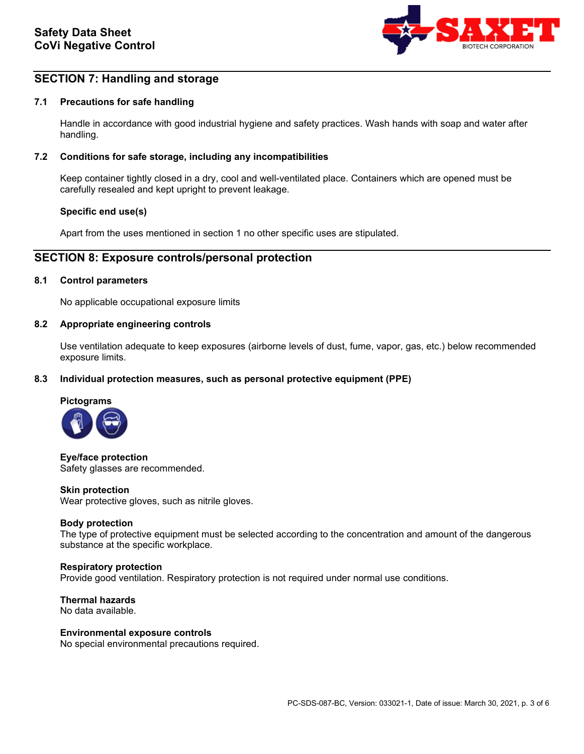

## **SECTION 7: Handling and storage**

### **7.1 Precautions for safe handling**

Handle in accordance with good industrial hygiene and safety practices. Wash hands with soap and water after handling.

### **7.2 Conditions for safe storage, including any incompatibilities**

Keep container tightly closed in a dry, cool and well-ventilated place. Containers which are opened must be carefully resealed and kept upright to prevent leakage.

### **Specific end use(s)**

Apart from the uses mentioned in section 1 no other specific uses are stipulated.

### **SECTION 8: Exposure controls/personal protection**

### **8.1 Control parameters**

No applicable occupational exposure limits

#### **8.2 Appropriate engineering controls**

Use ventilation adequate to keep exposures (airborne levels of dust, fume, vapor, gas, etc.) below recommended exposure limits.

### **8.3 Individual protection measures, such as personal protective equipment (PPE)**



**Eye/face protection** Safety glasses are recommended.

#### **Skin protection**

Wear protective gloves, such as nitrile gloves.

### **Body protection**

The type of protective equipment must be selected according to the concentration and amount of the dangerous substance at the specific workplace.

#### **Respiratory protection**

Provide good ventilation. Respiratory protection is not required under normal use conditions.

**Thermal hazards** No data available.

#### **Environmental exposure controls**

No special environmental precautions required.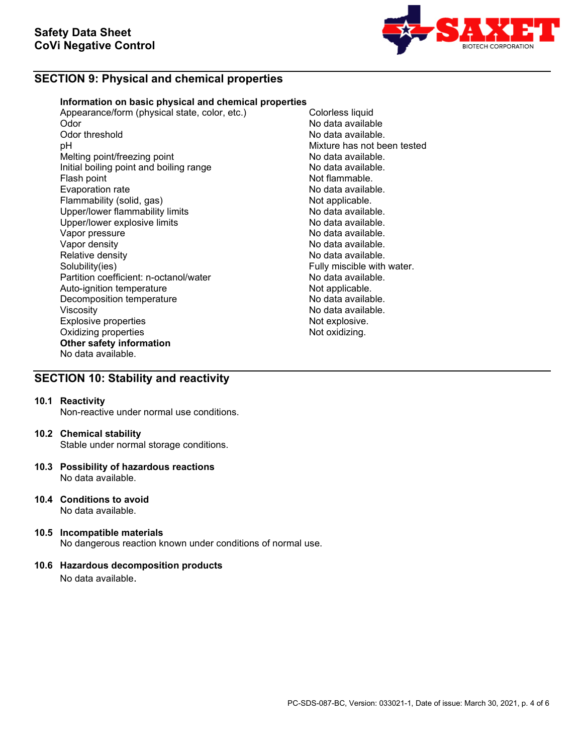

## **SECTION 9: Physical and chemical properties**

### **Information on basic physical and chemical properties**

Appearance/form (physical state, color, etc.) Colorless liquid<br>Odor Mo data availab Odor No data available Odor threshold **Odor threshold** Conservation of the Solid Australia available.<br>
Depends of the Mixture has not be Melting point/freezing point<br>
Initial boiling point and boiling range<br>
No data available. Initial boiling point and boiling range<br>Flash point Evaporation rate<br>
Flammability (solid, gas) Not applicable. Flammability (solid, gas) Not applicable.<br>
Upper/lower flammability limits No data available. Upper/lower flammability limits and the second of the No data available.<br>
Upper/lower explosive limits and the No data available. Upper/lower explosive limits<br>Vapor pressure Vapor pressure<br>Vapor density de la communitative de la communitative de la construction de la communitative de la communitati<br>No data available. Vapor density<br>
Relative density<br>
Relative density<br>
No data available. Relative density<br>
Solubility(ies)<br>
Solubility(ies)<br>
Solubility(ies) Partition coefficient: n-octanol/water **No data available.**<br>Auto-ignition temperature **Note and Auto-ignition** Auto-ignition temperature and the Not applicable.<br>
Decomposition temperature Not applicable. Decomposition temperature Viscosity<br>
Explosive properties<br>
Explosive explosive explosive explosive explosive explosive explosive explosive explosive explosive explosive explosive explosive explosive explosive explosive explosive explosive explosive Explosive properties and the explosive properties of the explosive.<br>
Oxidizing properties and the explosive of the explosive. Oxidizing properties **Other safety information** No data available.

Mixture has not been tested<br>No data available. Not flammable.<br>No data available. Fully miscible with water.

## **SECTION 10: Stability and reactivity**

### **10.1 Reactivity**

Non-reactive under normal use conditions.

#### **10.2 Chemical stability**

Stable under normal storage conditions.

- **10.3 Possibility of hazardous reactions** No data available.
- **10.4 Conditions to avoid**  No data available.
- **10.5 Incompatible materials** No dangerous reaction known under conditions of normal use.

### **10.6 Hazardous decomposition products**

No data available.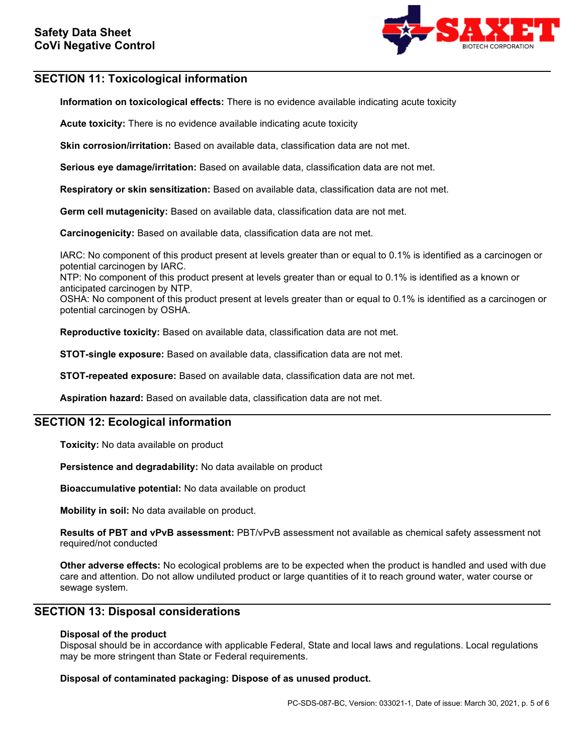

## **SECTION 11: Toxicological information**

**Information on toxicological effects:** There is no evidence available indicating acute toxicity

**Acute toxicity:** There is no evidence available indicating acute toxicity

**Skin corrosion/irritation:** Based on available data, classification data are not met.

**Serious eye damage/irritation:** Based on available data, classification data are not met.

**Respiratory or skin sensitization:** Based on available data, classification data are not met.

**Germ cell mutagenicity:** Based on available data, classification data are not met.

**Carcinogenicity:** Based on available data, classification data are not met.

IARC: No component of this product present at levels greater than or equal to 0.1% is identified as a carcinogen or potential carcinogen by IARC.

NTP: No component of this product present at levels greater than or equal to 0.1% is identified as a known or anticipated carcinogen by NTP.

OSHA: No component of this product present at levels greater than or equal to 0.1% is identified as a carcinogen or potential carcinogen by OSHA.

**Reproductive toxicity:** Based on available data, classification data are not met.

**STOT-single exposure:** Based on available data, classification data are not met.

**STOT-repeated exposure:** Based on available data, classification data are not met.

**Aspiration hazard:** Based on available data, classification data are not met.

## **SECTION 12: Ecological information**

**Toxicity:** No data available on product

**Persistence and degradability:** No data available on product

**Bioaccumulative potential:** No data available on product

**Mobility in soil:** No data available on product.

**Results of PBT and vPvB assessment:** PBT/vPvB assessment not available as chemical safety assessment not required/not conducted

**Other adverse effects:** No ecological problems are to be expected when the product is handled and used with due care and attention. Do not allow undiluted product or large quantities of it to reach ground water, water course or sewage system.

### **SECTION 13: Disposal considerations**

### **Disposal of the product**

Disposal should be in accordance with applicable Federal, State and local laws and regulations. Local regulations may be more stringent than State or Federal requirements.

### **Disposal of contaminated packaging: Dispose of as unused product.**